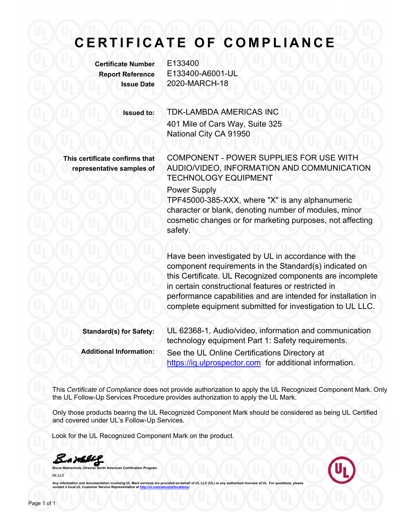# **CERTIFICATE OF COMPLIANCE**

**Certificate Number** E133400

**Report Reference** E133400-A6001-UL **Issue Date** 2020-MARCH-18

**Issued to:** TDK-LAMBDA AMERICAS INC 401 Mile of Cars Way, Suite 325 National City CA 91950

**This certificate confirms that representative samples of** COMPONENT - POWER SUPPLIES FOR USE WITH AUDIO/VIDEO, INFORMATION AND COMMUNICATION TECHNOLOGY EQUIPMENT

Power Supply

TPF45000-385-XXX, where "X" is any alphanumeric character or blank, denoting number of modules, minor cosmetic changes or for marketing purposes, not affecting safety.

Have been investigated by UL in accordance with the component requirements in the Standard(s) indicated on this Certificate. UL Recognized components are incomplete in certain constructional features or restricted in performance capabilities and are intended for installation in complete equipment submitted for investigation to UL LLC.

**Standard(s) for Safety:** UL 62368-1, Audio/video, information and communication technology equipment Part 1: Safety requirements. **Additional Information:** See the UL Online Certifications Directory at https://iq.ulprospector.com for additional information.

This *Certificate of Compliance* does not provide authorization to apply the UL Recognized Component Mark. Only the UL Follow-Up Services Procedure provides authorization to apply the UL Mark.

Only those products bearing the UL Recognized Component Mark should be considered as being UL Certified and covered under UL's Follow-Up Services.

Look for the UL Recognized Component Mark on the product.

S.a. malli

**American Certification Program UL LLC** 



Any information and documentation involving UL Mark services are provided on behalf of UL LLC (UL) or any authorized licensee of UL. For questions, please<br>contact a local UL Customer Service Representative at http://ul.com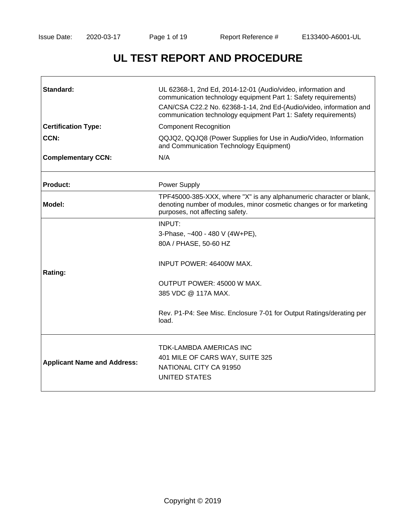# **UL TEST REPORT AND PROCEDURE**

| Standard:                          | UL 62368-1, 2nd Ed, 2014-12-01 (Audio/video, information and<br>communication technology equipment Part 1: Safety requirements)<br>CAN/CSA C22.2 No. 62368-1-14, 2nd Ed-(Audio/video, information and<br>communication technology equipment Part 1: Safety requirements) |
|------------------------------------|--------------------------------------------------------------------------------------------------------------------------------------------------------------------------------------------------------------------------------------------------------------------------|
| <b>Certification Type:</b>         | <b>Component Recognition</b>                                                                                                                                                                                                                                             |
| CCN:                               | QQJQ2, QQJQ8 (Power Supplies for Use in Audio/Video, Information<br>and Communication Technology Equipment)                                                                                                                                                              |
| <b>Complementary CCN:</b>          | N/A                                                                                                                                                                                                                                                                      |
| <b>Product:</b>                    | <b>Power Supply</b>                                                                                                                                                                                                                                                      |
| Model:                             | TPF45000-385-XXX, where "X" is any alphanumeric character or blank,<br>denoting number of modules, minor cosmetic changes or for marketing<br>purposes, not affecting safety.                                                                                            |
|                                    | INPUT:                                                                                                                                                                                                                                                                   |
|                                    | 3-Phase, ~400 - 480 V (4W+PE),                                                                                                                                                                                                                                           |
|                                    | 80A / PHASE, 50-60 HZ                                                                                                                                                                                                                                                    |
| Rating:                            | INPUT POWER: 46400W MAX.                                                                                                                                                                                                                                                 |
|                                    | OUTPUT POWER: 45000 W MAX.                                                                                                                                                                                                                                               |
|                                    | 385 VDC @ 117A MAX.                                                                                                                                                                                                                                                      |
|                                    | Rev. P1-P4: See Misc. Enclosure 7-01 for Output Ratings/derating per<br>load.                                                                                                                                                                                            |
|                                    | <b>TDK-LAMBDA AMERICAS INC</b>                                                                                                                                                                                                                                           |
| <b>Applicant Name and Address:</b> | 401 MILE OF CARS WAY, SUITE 325                                                                                                                                                                                                                                          |
|                                    | NATIONAL CITY CA 91950                                                                                                                                                                                                                                                   |
|                                    | UNITED STATES                                                                                                                                                                                                                                                            |
|                                    |                                                                                                                                                                                                                                                                          |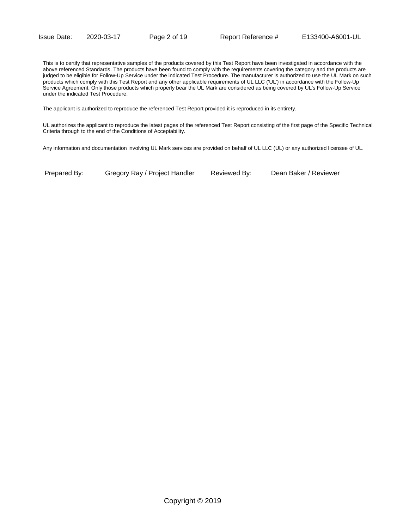This is to certify that representative samples of the products covered by this Test Report have been investigated in accordance with the above referenced Standards. The products have been found to comply with the requirements covering the category and the products are judged to be eligible for Follow-Up Service under the indicated Test Procedure. The manufacturer is authorized to use the UL Mark on such products which comply with this Test Report and any other applicable requirements of UL LLC ('UL') in accordance with the Follow-Up Service Agreement. Only those products which properly bear the UL Mark are considered as being covered by UL's Follow-Up Service under the indicated Test Procedure.

The applicant is authorized to reproduce the referenced Test Report provided it is reproduced in its entirety.

UL authorizes the applicant to reproduce the latest pages of the referenced Test Report consisting of the first page of the Specific Technical Criteria through to the end of the Conditions of Acceptability.

Any information and documentation involving UL Mark services are provided on behalf of UL LLC (UL) or any authorized licensee of UL.

Prepared By: Gregory Ray / Project Handler Reviewed By: Dean Baker / Reviewer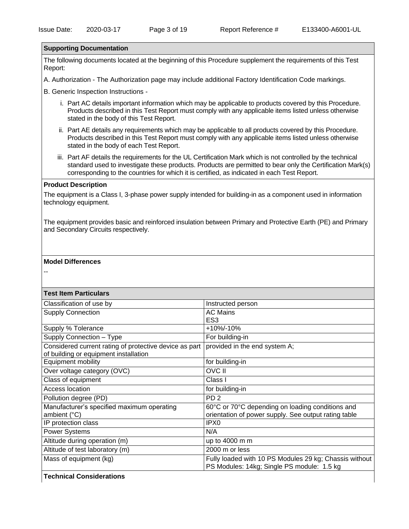#### **Supporting Documentation**

The following documents located at the beginning of this Procedure supplement the requirements of this Test Report:

A. Authorization - The Authorization page may include additional Factory Identification Code markings.

B. Generic Inspection Instructions -

- i. Part AC details important information which may be applicable to products covered by this Procedure. Products described in this Test Report must comply with any applicable items listed unless otherwise stated in the body of this Test Report.
- ii. Part AE details any requirements which may be applicable to all products covered by this Procedure. Products described in this Test Report must comply with any applicable items listed unless otherwise stated in the body of each Test Report.
- iii. Part AF details the requirements for the UL Certification Mark which is not controlled by the technical standard used to investigate these products. Products are permitted to bear only the Certification Mark(s) corresponding to the countries for which it is certified, as indicated in each Test Report.

#### **Product Description**

The equipment is a Class I, 3-phase power supply intended for building-in as a component used in information technology equipment.

The equipment provides basic and reinforced insulation between Primary and Protective Earth (PE) and Primary and Secondary Circuits respectively.

#### **Model Differences**

--

#### **Test Item Particulars**

| Instructed person                                      |
|--------------------------------------------------------|
| <b>AC Mains</b>                                        |
| ES <sub>3</sub>                                        |
| +10%/-10%                                              |
| For building-in                                        |
| provided in the end system A;                          |
|                                                        |
| for building-in                                        |
| <b>OVC II</b>                                          |
| Class I                                                |
| for building-in                                        |
| PD <sub>2</sub>                                        |
| 60°C or 70°C depending on loading conditions and       |
| orientation of power supply. See output rating table   |
| IPX <sub>0</sub>                                       |
| N/A                                                    |
| up to 4000 m m                                         |
| 2000 m or less                                         |
| Fully loaded with 10 PS Modules 29 kg; Chassis without |
| PS Modules: 14kg; Single PS module: 1.5 kg             |
|                                                        |

**Technical Considerations**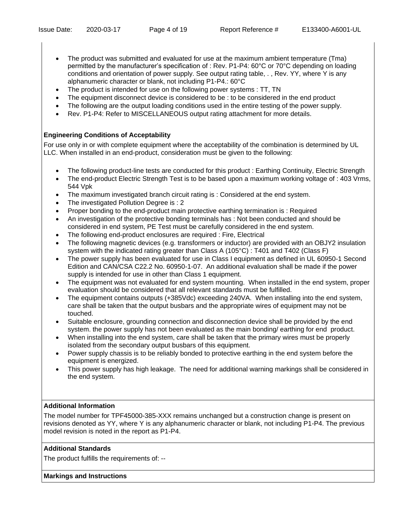- The product was submitted and evaluated for use at the maximum ambient temperature (Tma) permitted by the manufacturer's specification of : Rev. P1-P4: 60°C or 70°C depending on loading conditions and orientation of power supply. See output rating table, . , Rev. YY, where Y is any alphanumeric character or blank, not including P1-P4.: 60°C
- The product is intended for use on the following power systems : TT, TN
- The equipment disconnect device is considered to be : to be considered in the end product
- The following are the output loading conditions used in the entire testing of the power supply.
- Rev. P1-P4: Refer to MISCELLANEOUS output rating attachment for more details.

# **Engineering Conditions of Acceptability**

For use only in or with complete equipment where the acceptability of the combination is determined by UL LLC. When installed in an end-product, consideration must be given to the following:

- The following product-line tests are conducted for this product : Earthing Continuity, Electric Strength
- The end-product Electric Strength Test is to be based upon a maximum working voltage of : 403 Vrms, 544 Vpk
- The maximum investigated branch circuit rating is : Considered at the end system.
- The investigated Pollution Degree is : 2
- Proper bonding to the end-product main protective earthing termination is : Required
- An investigation of the protective bonding terminals has : Not been conducted and should be considered in end system, PE Test must be carefully considered in the end system.
- The following end-product enclosures are required : Fire, Electrical
- The following magnetic devices (e.g. transformers or inductor) are provided with an OBJY2 insulation system with the indicated rating greater than Class A (105°C) : T401 and T402 (Class F)
- The power supply has been evaluated for use in Class I equipment as defined in UL 60950-1 Second Edition and CAN/CSA C22.2 No. 60950-1-07. An additional evaluation shall be made if the power supply is intended for use in other than Class 1 equipment.
- The equipment was not evaluated for end system mounting. When installed in the end system, proper evaluation should be considered that all relevant standards must be fulfilled.
- The equipment contains outputs (+385Vdc) exceeding 240VA. When installing into the end system, care shall be taken that the output busbars and the appropriate wires of equipment may not be touched.
- Suitable enclosure, grounding connection and disconnection device shall be provided by the end system. the power supply has not been evaluated as the main bonding/ earthing for end product.
- When installing into the end system, care shall be taken that the primary wires must be properly isolated from the secondary output busbars of this equipment.
- Power supply chassis is to be reliably bonded to protective earthing in the end system before the equipment is energized.
- This power supply has high leakage. The need for additional warning markings shall be considered in the end system.

# **Additional Information**

The model number for TPF45000-385-XXX remains unchanged but a construction change is present on revisions denoted as YY, where Y is any alphanumeric character or blank, not including P1-P4. The previous model revision is noted in the report as P1-P4.

# **Additional Standards**

The product fulfills the requirements of: --

# **Markings and Instructions**